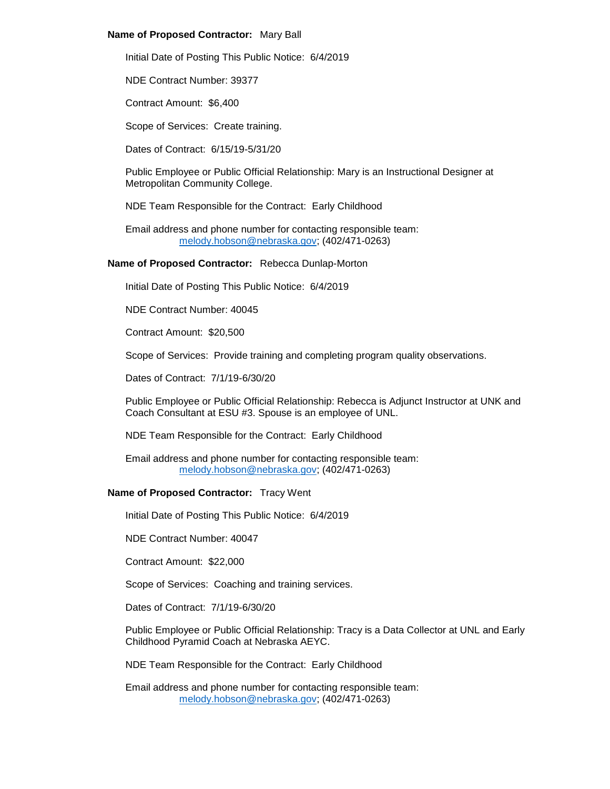## **Name of Proposed Contractor:** Mary Ball

Initial Date of Posting This Public Notice: 6/4/2019

NDE Contract Number: 39377

Contract Amount: \$6,400

Scope of Services: Create training.

Dates of Contract: 6/15/19-5/31/20

Public Employee or Public Official Relationship: Mary is an Instructional Designer at Metropolitan Community College.

NDE Team Responsible for the Contract: Early Childhood

Email address and phone number for contacting responsible team: [melody.hobson@nebraska.gov;](mailto:melody.hobson@nebraska.gov) (402/471-0263)

## **Name of Proposed Contractor:** Rebecca Dunlap-Morton

Initial Date of Posting This Public Notice: 6/4/2019

NDE Contract Number: 40045

Contract Amount: \$20,500

Scope of Services: Provide training and completing program quality observations.

Dates of Contract: 7/1/19-6/30/20

Public Employee or Public Official Relationship: Rebecca is Adjunct Instructor at UNK and Coach Consultant at ESU #3. Spouse is an employee of UNL.

NDE Team Responsible for the Contract: Early Childhood

Email address and phone number for contacting responsible team: [melody.hobson@nebraska.gov;](mailto:melody.hobson@nebraska.gov) (402/471-0263)

## **Name of Proposed Contractor:** Tracy Went

Initial Date of Posting This Public Notice: 6/4/2019

NDE Contract Number: 40047

Contract Amount: \$22,000

Scope of Services: Coaching and training services.

Dates of Contract: 7/1/19-6/30/20

Public Employee or Public Official Relationship: Tracy is a Data Collector at UNL and Early Childhood Pyramid Coach at Nebraska AEYC.

NDE Team Responsible for the Contract: Early Childhood

Email address and phone number for contacting responsible team: [melody.hobson@nebraska.gov;](mailto:melody.hobson@nebraska.gov) (402/471-0263)